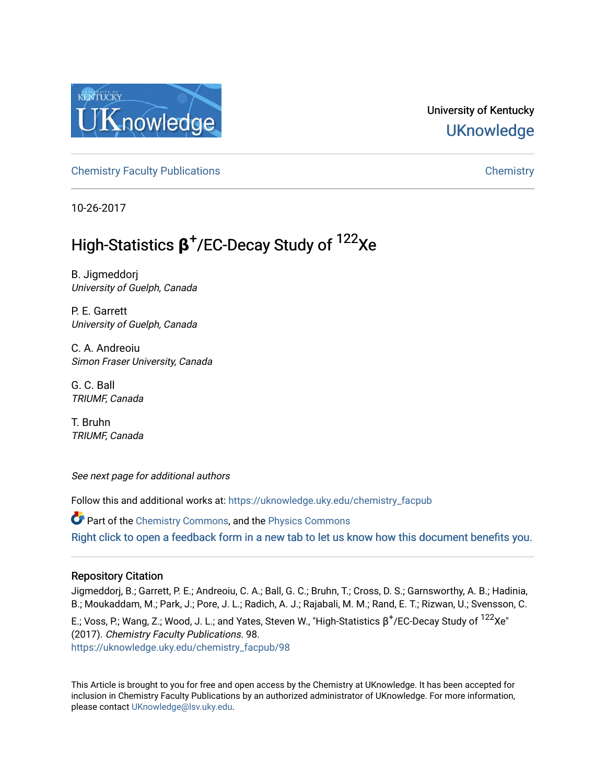

## University of Kentucky **UKnowledge**

[Chemistry Faculty Publications](https://uknowledge.uky.edu/chemistry_facpub) [Chemistry](https://uknowledge.uky.edu/chemistry) 

10-26-2017

# High-Statistics **β** + /EC-Decay Study of 122Xe

B. Jigmeddorj University of Guelph, Canada

P. E. Garrett University of Guelph, Canada

C. A. Andreoiu Simon Fraser University, Canada

G. C. Ball TRIUMF, Canada

T. Bruhn TRIUMF, Canada

See next page for additional authors

Follow this and additional works at: [https://uknowledge.uky.edu/chemistry\\_facpub](https://uknowledge.uky.edu/chemistry_facpub?utm_source=uknowledge.uky.edu%2Fchemistry_facpub%2F98&utm_medium=PDF&utm_campaign=PDFCoverPages) 

Part of the [Chemistry Commons,](http://network.bepress.com/hgg/discipline/131?utm_source=uknowledge.uky.edu%2Fchemistry_facpub%2F98&utm_medium=PDF&utm_campaign=PDFCoverPages) and the [Physics Commons](http://network.bepress.com/hgg/discipline/193?utm_source=uknowledge.uky.edu%2Fchemistry_facpub%2F98&utm_medium=PDF&utm_campaign=PDFCoverPages) [Right click to open a feedback form in a new tab to let us know how this document benefits you.](https://uky.az1.qualtrics.com/jfe/form/SV_9mq8fx2GnONRfz7)

### Repository Citation

Jigmeddorj, B.; Garrett, P. E.; Andreoiu, C. A.; Ball, G. C.; Bruhn, T.; Cross, D. S.; Garnsworthy, A. B.; Hadinia, B.; Moukaddam, M.; Park, J.; Pore, J. L.; Radich, A. J.; Rajabali, M. M.; Rand, E. T.; Rizwan, U.; Svensson, C.

E.; Voss, P.; Wang, Z.; Wood, J. L.; and Yates, Steven W., "High-Statistics β $^+$ /EC-Decay Study of  $^{122}$ Xe" (2017). Chemistry Faculty Publications. 98. [https://uknowledge.uky.edu/chemistry\\_facpub/98](https://uknowledge.uky.edu/chemistry_facpub/98?utm_source=uknowledge.uky.edu%2Fchemistry_facpub%2F98&utm_medium=PDF&utm_campaign=PDFCoverPages)

This Article is brought to you for free and open access by the Chemistry at UKnowledge. It has been accepted for inclusion in Chemistry Faculty Publications by an authorized administrator of UKnowledge. For more information, please contact [UKnowledge@lsv.uky.edu.](mailto:UKnowledge@lsv.uky.edu)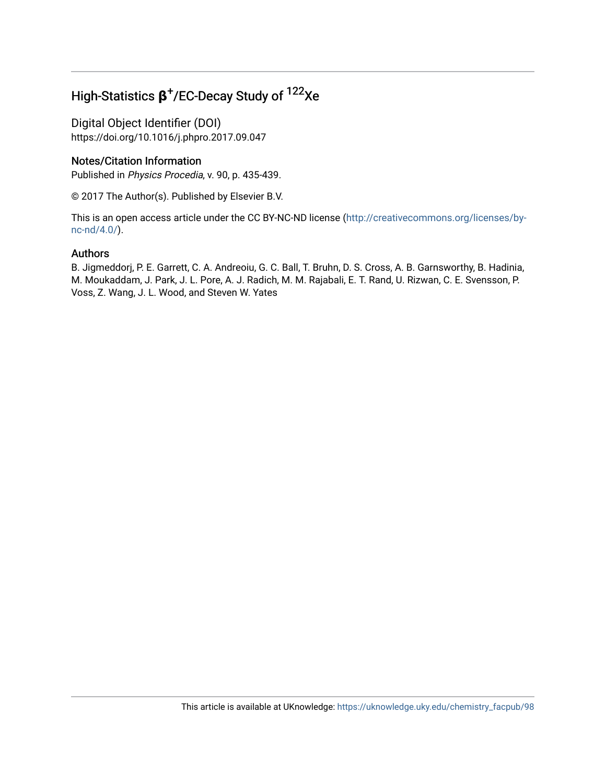## High-Statistics **β** + /EC-Decay Study of 122Xe

Digital Object Identifier (DOI) https://doi.org/10.1016/j.phpro.2017.09.047

### Notes/Citation Information

Published in Physics Procedia, v. 90, p. 435-439.

© 2017 The Author(s). Published by Elsevier B.V.

This is an open access article under the CC BY-NC-ND license ([http://creativecommons.org/licenses/by](https://creativecommons.org/licenses/by-nc-nd/4.0/)[nc-nd/4.0/\)](https://creativecommons.org/licenses/by-nc-nd/4.0/).

### Authors

B. Jigmeddorj, P. E. Garrett, C. A. Andreoiu, G. C. Ball, T. Bruhn, D. S. Cross, A. B. Garnsworthy, B. Hadinia, M. Moukaddam, J. Park, J. L. Pore, A. J. Radich, M. M. Rajabali, E. T. Rand, U. Rizwan, C. E. Svensson, P. Voss, Z. Wang, J. L. Wood, and Steven W. Yates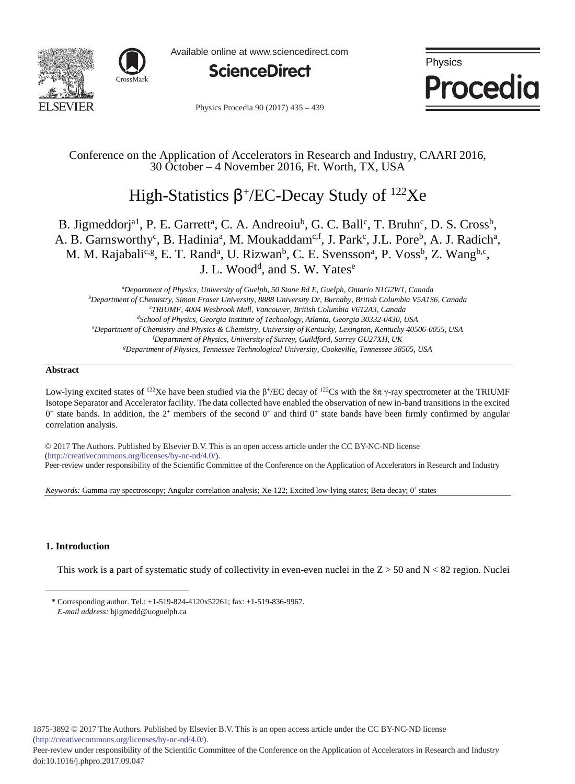



Available online at www.sciencedirect.com



Physics Procedia

Physics Procedia 90 (2017) 435 - 439

### Conference on the Application of Accelerators in Research and Industry, CAARI 2016, 30 October – 4 November 2016, Ft. Worth, TX, USA

## High-Statistics  $β^+/EC$ -Decay Study of <sup>122</sup>Xe

### B. Jigmeddorj<sup>a1</sup>, P. E. Garrett<sup>a</sup>, C. A. Andreoiu<sup>b</sup>, G. C. Ball<sup>c</sup>, T. Bruhn<sup>c</sup>, D. S. Cross<sup>b</sup>, A. B. Garnsworthy<sup>c</sup>, B. Hadinia<sup>a</sup>, M. Moukaddam<sup>c,f</sup>, J. Park<sup>c</sup>, J.L. Pore<sup>b</sup>, A. J. Radich<sup>a</sup>, M. M. Rajabali<sup>c,g</sup>, E. T. Rand<sup>a</sup>, U. Rizwan<sup>b</sup>, C. E. Svensson<sup>a</sup>, P. Voss<sup>b</sup>, Z. Wang<sup>b,c</sup>, J. L. Wood<sup>d</sup>, and S. W. Yates<sup>e</sup>

*a Department of Physics, University of Guelph, 50 Stone Rd E, Guelph, Ontario N1G2W1, Canada b Department of Chemistry, Simon Fraser University, 8888 University Dr, Burnaby, British Columbia V5A1S6, Canada c TRIUMF, 4004 Wesbrook Mall, Vancouver, British Columbia V6T2A3, Canada d School of Physics, Georgia Institute of Technology, Atlanta, Georgia 30332-0430, USA e Department of Chemistry and Physics & Chemistry, University of Kentucky, Lexington, Kentucky 40506-0055, USA f Department of Physics, University of Surrey, Guildford, Surrey GU27XH, UK g Department of Physics, Tennessee Technological University, Cookeville, Tennessee 38505, USA*

#### **Abstract**

Low-lying excited states of <sup>122</sup>Xe have been studied via the β<sup>+</sup>/EC decay of <sup>122</sup>Cs with the 8π γ-ray spectrometer at the TRIUMF Isotope Separator and Accelerator facility. The data collected have enabled the observation of new in-band transitions in the excited  $0^+$  state bands. In addition, the  $2^+$  members of the second  $0^+$  and third  $0^+$  state bands have been firmly confirmed by angular correlation analysis.

© 2017 The Authors. Published by Elsevier B.V. © 2017 The Authors. Published by Elsevier B.V. This is an open access article under the CC BY-NC-ND license (http://creativecommons.org/licenses/by-nc-nd/4.0/). Peer-review under responsibility of the Scientific Committee of the Conference on the Application of Accelerators in Research and Industry

*Keywords:* Gamma-ray spectroscopy; Angular correlation analysis; Xe-122; Excited low-lying states; Beta decay; 0<sup>+</sup> states

### **1. Introduction**

 $\overline{a}$ 

This work is a part of systematic study of collectivity in even-even nuclei in the  $Z > 50$  and  $N < 82$  region. Nuclei

<sup>\*</sup> Corresponding author. Tel.: +1-519-824-4120x52261; fax: +1-519-836-9967. *E-mail address:* bjigmedd@uoguelph.ca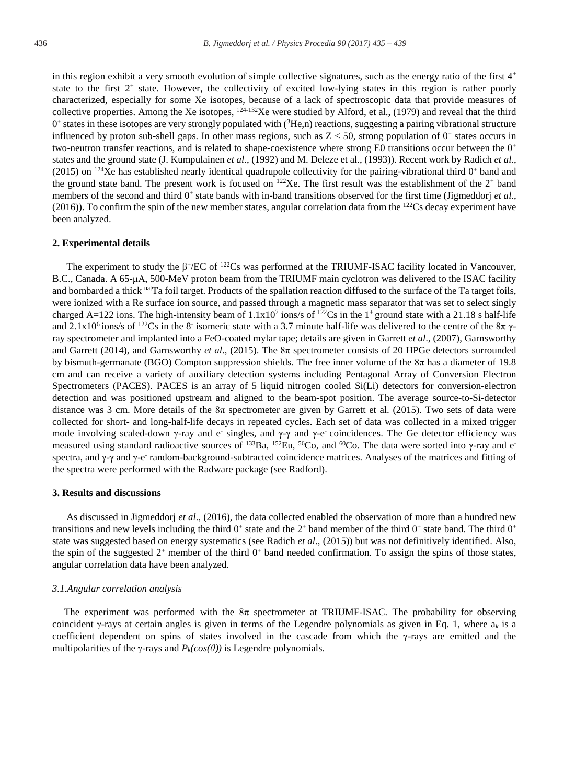in this region exhibit a very smooth evolution of simple collective signatures, such as the energy ratio of the first  $4<sup>+</sup>$ state to the first  $2^+$  state. However, the collectivity of excited low-lying states in this region is rather poorly characterized, especially for some Xe isotopes, because of a lack of spectroscopic data that provide measures of collective properties. Among the Xe isotopes,  $124-132$ Xe were studied by Alford, et al., (1979) and reveal that the third  $0^+$  states in these isotopes are very strongly populated with  $(3He,n)$  reactions, suggesting a pairing vibrational structure influenced by proton sub-shell gaps. In other mass regions, such as  $Z < 50$ , strong population of  $0^+$  states occurs in two-neutron transfer reactions, and is related to shape-coexistence where strong E0 transitions occur between the  $0^+$ states and the ground state (J. Kumpulainen *et al*., (1992) and M. Deleze et al., (1993)). Recent work by Radich *et al*., (2015) on <sup>124</sup>Xe has established nearly identical quadrupole collectivity for the pairing-vibrational third  $0^+$  band and the ground state band. The present work is focused on  $^{122}$ Xe. The first result was the establishment of the  $2^+$  band members of the second and third  $0^+$  state bands with in-band transitions observed for the first time (Jigmeddorj *et al.*, (2016)). To confirm the spin of the new member states, angular correlation data from the  $^{122}Cs$  decay experiment have been analyzed.

#### **2. Experimental details**

The experiment to study the  $\beta$ <sup>+</sup>/EC of <sup>122</sup>Cs was performed at the TRIUMF-ISAC facility located in Vancouver, B.C., Canada. A 65-μA, 500-MeV proton beam from the TRIUMF main cyclotron was delivered to the ISAC facility and bombarded a thick natTa foil target. Products of the spallation reaction diffused to the surface of the Ta target foils, were ionized with a Re surface ion source, and passed through a magnetic mass separator that was set to select singly charged A=122 ions. The high-intensity beam of  $1.1x10<sup>7</sup>$  ions/s of <sup>122</sup>Cs in the 1<sup>+</sup> ground state with a 21.18 s half-life and 2.1x10<sup>6</sup> ions/s of <sup>122</sup>Cs in the 8<sup>-</sup> isomeric state with a 3.7 minute half-life was delivered to the centre of the 8 $\pi$   $\gamma$ ray spectrometer and implanted into a FeO-coated mylar tape; details are given in Garrett *et al*., (2007), Garnsworthy and Garrett (2014), and Garnsworthy *et al*., (2015). The 8π spectrometer consists of 20 HPGe detectors surrounded by bismuth-germanate (BGO) Compton suppression shields. The free inner volume of the  $8\pi$  has a diameter of 19.8 cm and can receive a variety of auxiliary detection systems including Pentagonal Array of Conversion Electron Spectrometers (PACES). PACES is an array of 5 liquid nitrogen cooled Si(Li) detectors for conversion-electron detection and was positioned upstream and aligned to the beam-spot position. The average source-to-Si-detector distance was 3 cm. More details of the 8π spectrometer are given by Garrett et al. (2015). Two sets of data were collected for short- and long-half-life decays in repeated cycles. Each set of data was collected in a mixed trigger mode involving scaled-down γ-ray and e<sup>-</sup> singles, and γ-γ and γ-e<sup>-</sup> coincidences. The Ge detector efficiency was measured using standard radioactive sources of  $^{133}Ba$ ,  $^{152}Eu$ ,  $^{56}Co$ , and  $^{60}Co$ . The data were sorted into γ-ray and espectra, and γ-γ and γ-e- random-background-subtracted coincidence matrices. Analyses of the matrices and fitting of the spectra were performed with the Radware package (see Radford).

#### **3. Results and discussions**

As discussed in Jigmeddorj *et al*., (2016), the data collected enabled the observation of more than a hundred new transitions and new levels including the third  $0^+$  state and the  $2^+$  band member of the third  $0^+$  state band. The third  $0^+$ state was suggested based on energy systematics (see Radich *et al*., (2015)) but was not definitively identified. Also, the spin of the suggested  $2^+$  member of the third  $0^+$  band needed confirmation. To assign the spins of those states, angular correlation data have been analyzed.

#### *3.1.Angular correlation analysis*

The experiment was performed with the  $8\pi$  spectrometer at TRIUMF-ISAC. The probability for observing coincident γ-rays at certain angles is given in terms of the Legendre polynomials as given in Eq. 1, where a*<sup>k</sup>* is a coefficient dependent on spins of states involved in the cascade from which the γ-rays are emitted and the multipolarities of the γ-rays and  $P_k(cos(\theta))$  is Legendre polynomials.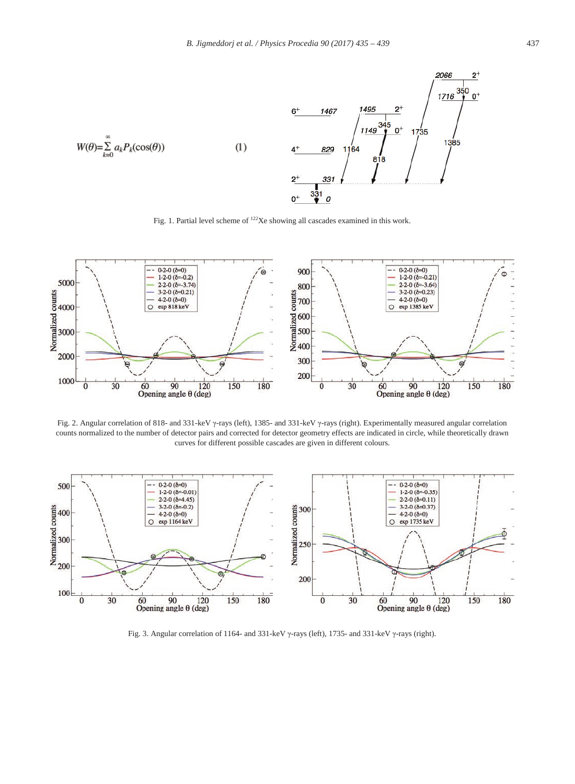

Fig. 1. Partial level scheme of <sup>122</sup>Xe showing all cascades examined in this work.



Fig. 2. Angular correlation of 818- and 331-keV γ-rays (left), 1385- and 331-keV γ-rays (right). Experimentally measured angular correlation counts normalized to the number of detector pairs and corrected for detector geometry effects are indicated in circle, while theoretically drawn curves for different possible cascades are given in different colours.



Fig. 3. Angular correlation of 1164- and 331-keV γ-rays (left), 1735- and 331-keV γ-rays (right).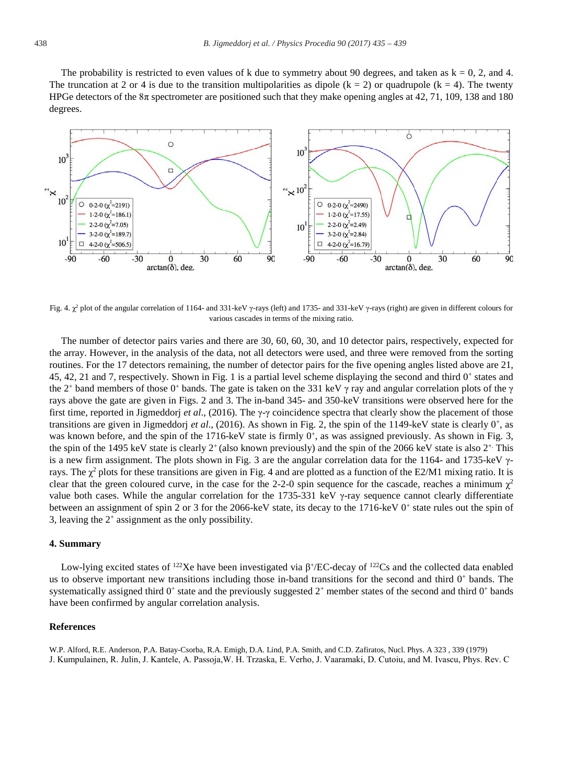The probability is restricted to even values of k due to symmetry about 90 degrees, and taken as  $k = 0$ , 2, and 4. The truncation at 2 or 4 is due to the transition multipolarities as dipole ( $k = 2$ ) or quadrupole ( $k = 4$ ). The twenty HPGe detectors of the 8π spectrometer are positioned such that they make opening angles at 42, 71, 109, 138 and 180 degrees.



Fig. 4.  $\gamma^2$  plot of the angular correlation of 1164- and 331-keV γ-rays (left) and 1735- and 331-keV γ-rays (right) are given in different colours for various cascades in terms of the mixing ratio.

The number of detector pairs varies and there are 30, 60, 60, 30, and 10 detector pairs, respectively, expected for the array. However, in the analysis of the data, not all detectors were used, and three were removed from the sorting routines. For the 17 detectors remaining, the number of detector pairs for the five opening angles listed above are 21, 45, 42, 21 and 7, respectively. Shown in Fig. 1 is a partial level scheme displaying the second and third  $0^+$  states and the 2<sup>+</sup> band members of those 0<sup>+</sup> bands. The gate is taken on the 331 keV  $\gamma$  ray and angular correlation plots of the  $\gamma$ rays above the gate are given in Figs. 2 and 3. The in-band 345- and 350-keV transitions were observed here for the first time, reported in Jigmeddorj *et al*., (2016). The γ-γ coincidence spectra that clearly show the placement of those transitions are given in Jigmeddorj *et al*., (2016). As shown in Fig. 2, the spin of the 1149-keV state is clearly 0+, as was known before, and the spin of the 1716-keV state is firmly  $0^+$ , as was assigned previously. As shown in Fig. 3, the spin of the 1495 keV state is clearly  $2^+$  (also known previously) and the spin of the 2066 keV state is also  $2^+$ . This is a new firm assignment. The plots shown in Fig. 3 are the angular correlation data for the 1164- and 1735-keV  $\gamma$ rays. The  $\chi^2$  plots for these transitions are given in Fig. 4 and are plotted as a function of the E2/M1 mixing ratio. It is clear that the green coloured curve, in the case for the 2-2-0 spin sequence for the cascade, reaches a minimum  $\chi^2$ value both cases. While the angular correlation for the 1735-331 keV γ-ray sequence cannot clearly differentiate between an assignment of spin 2 or 3 for the 2066-keV state, its decay to the 1716-keV 0<sup>+</sup> state rules out the spin of 3, leaving the 2+ assignment as the only possibility.

#### **4. Summary**

Low-lying excited states of <sup>122</sup>Xe have been investigated via β<sup>+</sup>/EC-decay of <sup>122</sup>Cs and the collected data enabled us to observe important new transitions including those in-band transitions for the second and third  $0<sup>+</sup>$  bands. The systematically assigned third  $0^+$  state and the previously suggested  $2^+$  member states of the second and third  $0^+$  bands have been confirmed by angular correlation analysis.

#### **References**

W.P. Alford, R.E. Anderson, P.A. Batay-Csorba, R.A. Emigh, D.A. Lind, P.A. Smith, and C.D. Zafiratos, Nucl. Phys. A 323 , 339 (1979) J. Kumpulainen, R. Julin, J. Kantele, A. Passoja,W. H. Trzaska, E. Verho, J. Vaaramaki, D. Cutoiu, and M. Ivascu, Phys. Rev. C